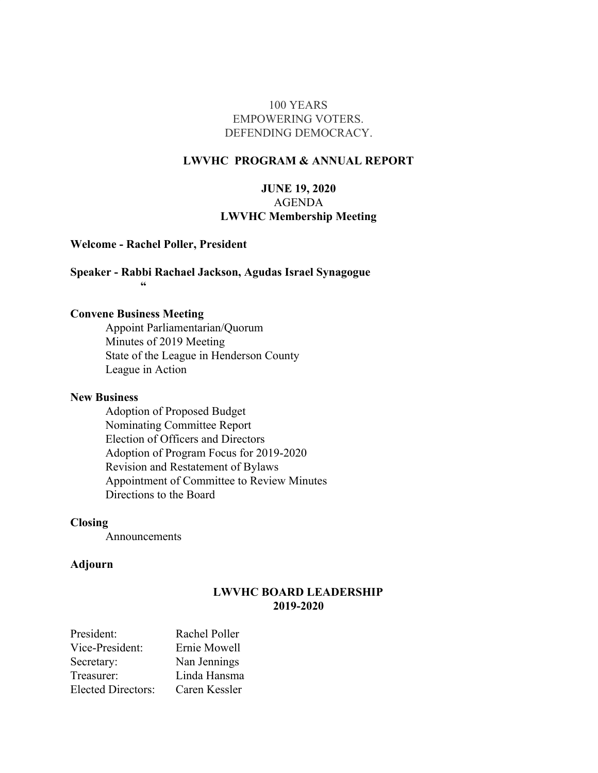#### 100 YEARS EMPOWERING VOTERS. DEFENDING DEMOCRACY.

#### **LWVHC PROGRAM & ANNUAL REPORT**

#### **JUNE 19, 2020** AGENDA **LWVHC Membership Meeting**

#### **Welcome - Rachel Poller, President**

#### **Speaker - Rabbi Rachael Jackson, Agudas Israel Synagogue "**

#### **Convene Business Meeting**

Appoint Parliamentarian/Quorum Minutes of 2019 Meeting State of the League in Henderson County League in Action

#### **New Business**

Adoption of Proposed Budget Nominating Committee Report Election of Officers and Directors Adoption of Program Focus for 2019-2020 Revision and Restatement of Bylaws Appointment of Committee to Review Minutes Directions to the Board

#### **Closing**

Announcements

#### **Adjourn**

#### **LWVHC BOARD LEADERSHIP 2019-2020**

| President:                | Rachel Poller |
|---------------------------|---------------|
| Vice-President:           | Ernie Mowell  |
| Secretary:                | Nan Jennings  |
| Treasurer:                | Linda Hansma  |
| <b>Elected Directors:</b> | Caren Kessler |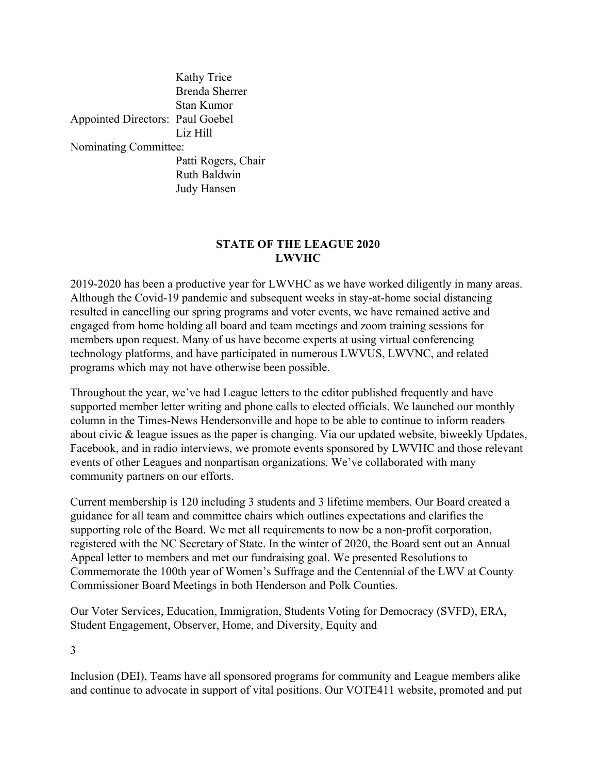|                                  | Kathy Trice           |
|----------------------------------|-----------------------|
|                                  | <b>Brenda Sherrer</b> |
|                                  | Stan Kumor            |
| Appointed Directors: Paul Goebel |                       |
|                                  | Liz Hill              |
| Nominating Committee:            |                       |
|                                  | Patti Rogers, Chair   |
|                                  | Ruth Baldwin          |
|                                  | <b>Judy Hansen</b>    |

#### **STATE OF THE LEAGUE 2020 LWVHC**

2019-2020 has been a productive year for LWVHC as we have worked diligently in many areas. Although the Covid-19 pandemic and subsequent weeks in stay-at-home social distancing resulted in cancelling our spring programs and voter events, we have remained active and engaged from home holding all board and team meetings and zoom training sessions for members upon request. Many of us have become experts at using virtual conferencing technology platforms, and have participated in numerous LWVUS, LWVNC, and related programs which may not have otherwise been possible.

Throughout the year, we've had League letters to the editor published frequently and have supported member letter writing and phone calls to elected officials. We launched our monthly column in the Times-News Hendersonville and hope to be able to continue to inform readers about civic & league issues as the paper is changing. Via our updated website, biweekly Updates, Facebook, and in radio interviews, we promote events sponsored by LWVHC and those relevant events of other Leagues and nonpartisan organizations. We've collaborated with many community partners on our efforts.

Current membership is 120 including 3 students and 3 lifetime members. Our Board created a guidance for all team and committee chairs which outlines expectations and clarifies the supporting role of the Board. We met all requirements to now be a non-profit corporation, registered with the NC Secretary of State. In the winter of 2020, the Board sent out an Annual Appeal letter to members and met our fundraising goal. We presented Resolutions to Commemorate the 100th year of Women's Suffrage and the Centennial of the LWV at County Commissioner Board Meetings in both Henderson and Polk Counties.

Our Voter Services, Education, Immigration, Students Voting for Democracy (SVFD), ERA, Student Engagement, Observer, Home, and Diversity, Equity and

3

Inclusion (DEI), Teams have all sponsored programs for community and League members alike and continue to advocate in support of vital positions. Our VOTE411 website, promoted and put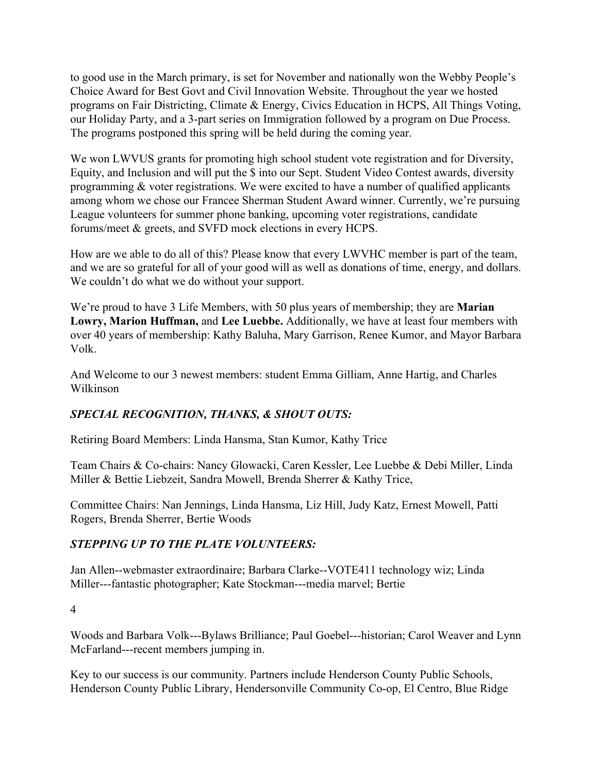to good use in the March primary, is set for November and nationally won the Webby People's Choice Award for Best Govt and Civil Innovation Website. Throughout the year we hosted programs on Fair Districting, Climate & Energy, Civics Education in HCPS, All Things Voting, our Holiday Party, and a 3-part series on Immigration followed by a program on Due Process. The programs postponed this spring will be held during the coming year.

We won LWVUS grants for promoting high school student vote registration and for Diversity, Equity, and Inclusion and will put the \$ into our Sept. Student Video Contest awards, diversity programming & voter registrations. We were excited to have a number of qualified applicants among whom we chose our Francee Sherman Student Award winner. Currently, we're pursuing League volunteers for summer phone banking, upcoming voter registrations, candidate forums/meet & greets, and SVFD mock elections in every HCPS.

How are we able to do all of this? Please know that every LWVHC member is part of the team, and we are so grateful for all of your good will as well as donations of time, energy, and dollars. We couldn't do what we do without your support.

We're proud to have 3 Life Members, with 50 plus years of membership; they are **Marian Lowry, Marion Huffman,** and **Lee Luebbe.** Additionally, we have at least four members with over 40 years of membership: Kathy Baluha, Mary Garrison, Renee Kumor, and Mayor Barbara Volk.

And Welcome to our 3 newest members: student Emma Gilliam, Anne Hartig, and Charles Wilkinson

### *SPECIAL RECOGNITION, THANKS, & SHOUT OUTS:*

Retiring Board Members: Linda Hansma, Stan Kumor, Kathy Trice

Team Chairs & Co-chairs: Nancy Glowacki, Caren Kessler, Lee Luebbe & Debi Miller, Linda Miller & Bettie Liebzeit, Sandra Mowell, Brenda Sherrer & Kathy Trice,

Committee Chairs: Nan Jennings, Linda Hansma, Liz Hill, Judy Katz, Ernest Mowell, Patti Rogers, Brenda Sherrer, Bertie Woods

#### *STEPPING UP TO THE PLATE VOLUNTEERS:*

Jan Allen--webmaster extraordinaire; Barbara Clarke--VOTE411 technology wiz; Linda Miller---fantastic photographer; Kate Stockman---media marvel; Bertie

4

Woods and Barbara Volk---Bylaws Brilliance; Paul Goebel---historian; Carol Weaver and Lynn McFarland---recent members jumping in.

Key to our success is our community. Partners include Henderson County Public Schools, Henderson County Public Library, Hendersonville Community Co-op, El Centro, Blue Ridge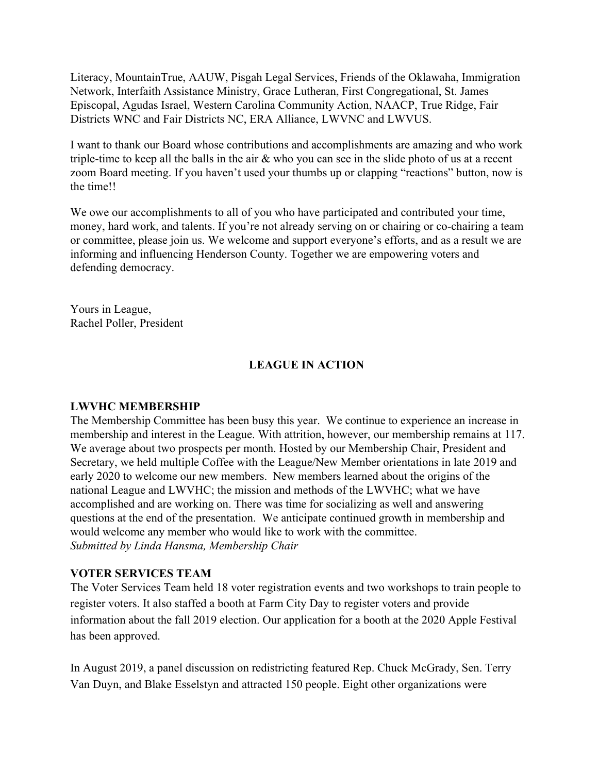Literacy, MountainTrue, AAUW, Pisgah Legal Services, Friends of the Oklawaha, Immigration Network, Interfaith Assistance Ministry, Grace Lutheran, First Congregational, St. James Episcopal, Agudas Israel, Western Carolina Community Action, NAACP, True Ridge, Fair Districts WNC and Fair Districts NC, ERA Alliance, LWVNC and LWVUS.

I want to thank our Board whose contributions and accomplishments are amazing and who work triple-time to keep all the balls in the air & who you can see in the slide photo of us at a recent zoom Board meeting. If you haven't used your thumbs up or clapping "reactions" button, now is the time!!

We owe our accomplishments to all of you who have participated and contributed your time, money, hard work, and talents. If you're not already serving on or chairing or co-chairing a team or committee, please join us. We welcome and support everyone's efforts, and as a result we are informing and influencing Henderson County. Together we are empowering voters and defending democracy.

Yours in League, Rachel Poller, President

#### **LEAGUE IN ACTION**

#### **LWVHC MEMBERSHIP**

The Membership Committee has been busy this year. We continue to experience an increase in membership and interest in the League. With attrition, however, our membership remains at 117. We average about two prospects per month. Hosted by our Membership Chair, President and Secretary, we held multiple Coffee with the League/New Member orientations in late 2019 and early 2020 to welcome our new members. New members learned about the origins of the national League and LWVHC; the mission and methods of the LWVHC; what we have accomplished and are working on. There was time for socializing as well and answering questions at the end of the presentation. We anticipate continued growth in membership and would welcome any member who would like to work with the committee. *Submitted by Linda Hansma, Membership Chair*

#### **VOTER SERVICES TEAM**

The Voter Services Team held 18 voter registration events and two workshops to train people to register voters. It also staffed a booth at Farm City Day to register voters and provide information about the fall 2019 election. Our application for a booth at the 2020 Apple Festival has been approved.

In August 2019, a panel discussion on redistricting featured Rep. Chuck McGrady, Sen. Terry Van Duyn, and Blake Esselstyn and attracted 150 people. Eight other organizations were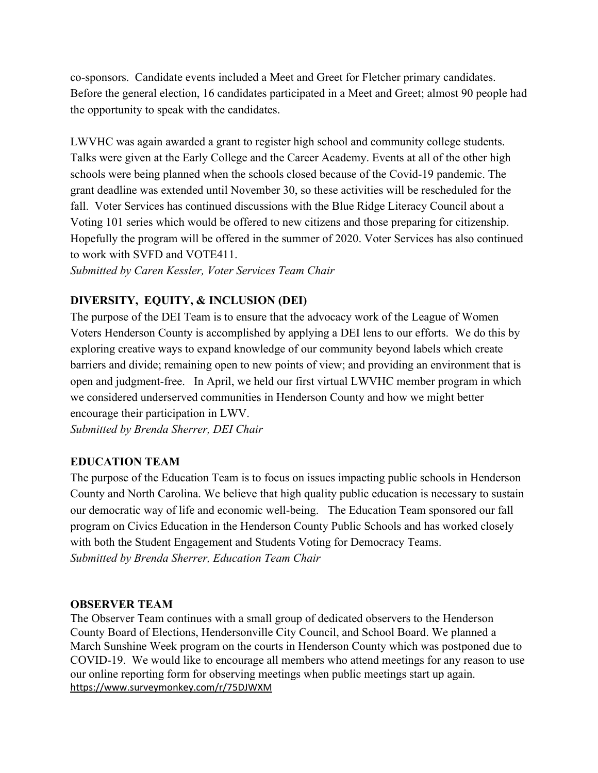co-sponsors. Candidate events included a Meet and Greet for Fletcher primary candidates. Before the general election, 16 candidates participated in a Meet and Greet; almost 90 people had the opportunity to speak with the candidates.

LWVHC was again awarded a grant to register high school and community college students. Talks were given at the Early College and the Career Academy. Events at all of the other high schools were being planned when the schools closed because of the Covid-19 pandemic. The grant deadline was extended until November 30, so these activities will be rescheduled for the fall. Voter Services has continued discussions with the Blue Ridge Literacy Council about a Voting 101 series which would be offered to new citizens and those preparing for citizenship. Hopefully the program will be offered in the summer of 2020. Voter Services has also continued to work with SVFD and VOTE411.

*Submitted by Caren Kessler, Voter Services Team Chair*

### **DIVERSITY, EQUITY, & INCLUSION (DEI)**

The purpose of the DEI Team is to ensure that the advocacy work of the League of Women Voters Henderson County is accomplished by applying a DEI lens to our efforts. We do this by exploring creative ways to expand knowledge of our community beyond labels which create barriers and divide; remaining open to new points of view; and providing an environment that is open and judgment-free. In April, we held our first virtual LWVHC member program in which we considered underserved communities in Henderson County and how we might better encourage their participation in LWV.

*Submitted by Brenda Sherrer, DEI Chair*

### **EDUCATION TEAM**

The purpose of the Education Team is to focus on issues impacting public schools in Henderson County and North Carolina. We believe that high quality public education is necessary to sustain our democratic way of life and economic well-being. The Education Team sponsored our fall program on Civics Education in the Henderson County Public Schools and has worked closely with both the Student Engagement and Students Voting for Democracy Teams. *Submitted by Brenda Sherrer, Education Team Chair*

#### **OBSERVER TEAM**

The Observer Team continues with a small group of dedicated observers to the Henderson County Board of Elections, Hendersonville City Council, and School Board. We planned a March Sunshine Week program on the courts in Henderson County which was postponed due to COVID-19. We would like to encourage all members who attend meetings for any reason to use our online reporting form for observing meetings when public meetings start up again. <https://www.surveymonkey.com/r/75DJWXM>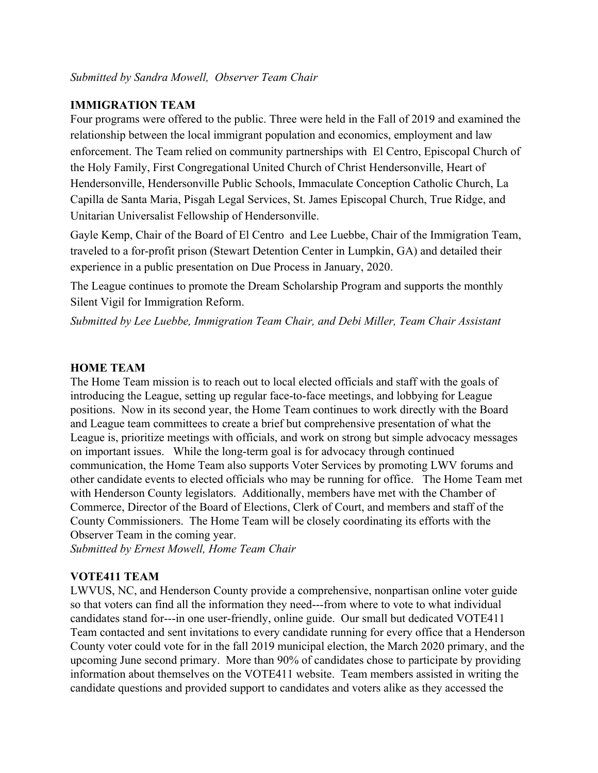#### **IMMIGRATION TEAM**

Four programs were offered to the public. Three were held in the Fall of 2019 and examined the relationship between the local immigrant population and economics, employment and law enforcement. The Team relied on community partnerships with El Centro, Episcopal Church of the Holy Family, First Congregational United Church of Christ Hendersonville, Heart of Hendersonville, Hendersonville Public Schools, Immaculate Conception Catholic Church, La Capilla de Santa Maria, Pisgah Legal Services, St. James Episcopal Church, True Ridge, and Unitarian Universalist Fellowship of Hendersonville.

Gayle Kemp, Chair of the Board of El Centro and Lee Luebbe, Chair of the Immigration Team, traveled to a for-profit prison (Stewart Detention Center in Lumpkin, GA) and detailed their experience in a public presentation on Due Process in January, 2020.

The League continues to promote the Dream Scholarship Program and supports the monthly Silent Vigil for Immigration Reform.

*Submitted by Lee Luebbe, Immigration Team Chair, and Debi Miller, Team Chair Assistant*

#### **HOME TEAM**

The Home Team mission is to reach out to local elected officials and staff with the goals of introducing the League, setting up regular face-to-face meetings, and lobbying for League positions. Now in its second year, the Home Team continues to work directly with the Board and League team committees to create a brief but comprehensive presentation of what the League is, prioritize meetings with officials, and work on strong but simple advocacy messages on important issues. While the long-term goal is for advocacy through continued communication, the Home Team also supports Voter Services by promoting LWV forums and other candidate events to elected officials who may be running for office. The Home Team met with Henderson County legislators. Additionally, members have met with the Chamber of Commerce, Director of the Board of Elections, Clerk of Court, and members and staff of the County Commissioners. The Home Team will be closely coordinating its efforts with the Observer Team in the coming year.

*Submitted by Ernest Mowell, Home Team Chair*

#### **VOTE411 TEAM**

LWVUS, NC, and Henderson County provide a comprehensive, nonpartisan online voter guide so that voters can find all the information they need---from where to vote to what individual candidates stand for---in one user-friendly, online guide. Our small but dedicated VOTE411 Team contacted and sent invitations to every candidate running for every office that a Henderson County voter could vote for in the fall 2019 municipal election, the March 2020 primary, and the upcoming June second primary. More than 90% of candidates chose to participate by providing information about themselves on the VOTE411 website. Team members assisted in writing the candidate questions and provided support to candidates and voters alike as they accessed the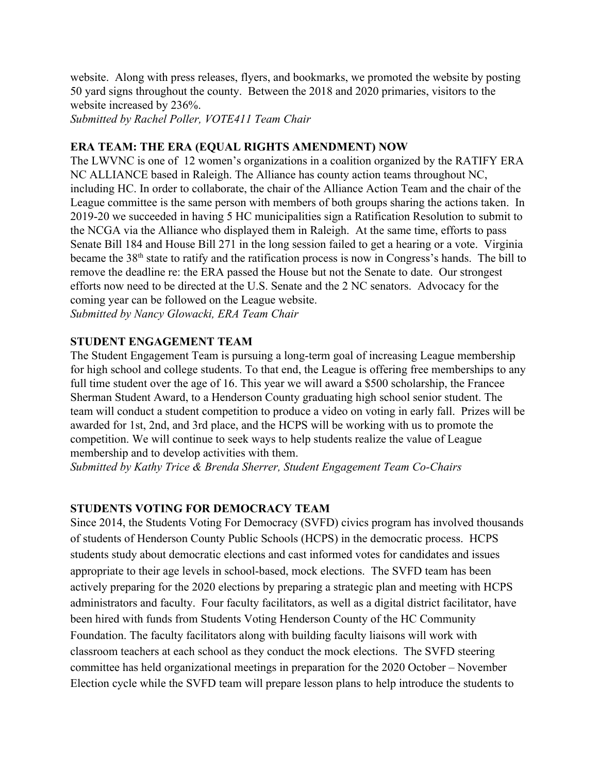website. Along with press releases, flyers, and bookmarks, we promoted the website by posting 50 yard signs throughout the county. Between the 2018 and 2020 primaries, visitors to the website increased by 236%.

*Submitted by Rachel Poller, VOTE411 Team Chair*

#### **ERA TEAM: THE ERA (EQUAL RIGHTS AMENDMENT) NOW**

The LWVNC is one of 12 women's organizations in a coalition organized by the RATIFY ERA NC ALLIANCE based in Raleigh. The Alliance has county action teams throughout NC, including HC. In order to collaborate, the chair of the Alliance Action Team and the chair of the League committee is the same person with members of both groups sharing the actions taken. In 2019-20 we succeeded in having 5 HC municipalities sign a Ratification Resolution to submit to the NCGA via the Alliance who displayed them in Raleigh. At the same time, efforts to pass Senate Bill 184 and House Bill 271 in the long session failed to get a hearing or a vote. Virginia became the 38<sup>th</sup> state to ratify and the ratification process is now in Congress's hands. The bill to remove the deadline re: the ERA passed the House but not the Senate to date. Our strongest efforts now need to be directed at the U.S. Senate and the 2 NC senators. Advocacy for the coming year can be followed on the League website. *Submitted by Nancy Glowacki, ERA Team Chair*

## **STUDENT ENGAGEMENT TEAM**

The Student Engagement Team is pursuing a long-term goal of increasing League membership for high school and college students. To that end, the League is offering free memberships to any full time student over the age of 16. This year we will award a \$500 scholarship, the Francee Sherman Student Award, to a Henderson County graduating high school senior student. The team will conduct a student competition to produce a video on voting in early fall. Prizes will be awarded for 1st, 2nd, and 3rd place, and the HCPS will be working with us to promote the competition. We will continue to seek ways to help students realize the value of League membership and to develop activities with them.

*Submitted by Kathy Trice & Brenda Sherrer, Student Engagement Team Co-Chairs*

#### **STUDENTS VOTING FOR DEMOCRACY TEAM**

Since 2014, the Students Voting For Democracy (SVFD) civics program has involved thousands of students of Henderson County Public Schools (HCPS) in the democratic process. HCPS students study about democratic elections and cast informed votes for candidates and issues appropriate to their age levels in school-based, mock elections. The SVFD team has been actively preparing for the 2020 elections by preparing a strategic plan and meeting with HCPS administrators and faculty. Four faculty facilitators, as well as a digital district facilitator, have been hired with funds from Students Voting Henderson County of the HC Community Foundation. The faculty facilitators along with building faculty liaisons will work with classroom teachers at each school as they conduct the mock elections. The SVFD steering committee has held organizational meetings in preparation for the 2020 October – November Election cycle while the SVFD team will prepare lesson plans to help introduce the students to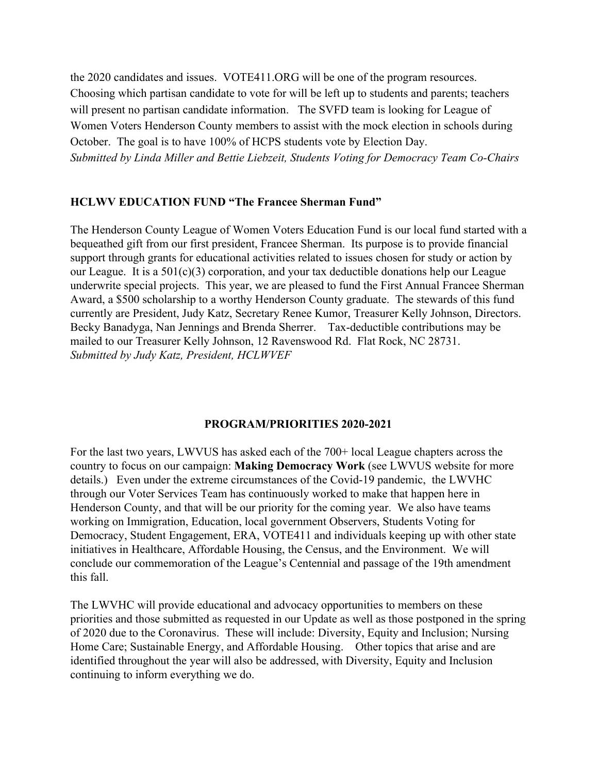the 2020 candidates and issues. VOTE411.ORG will be one of the program resources. Choosing which partisan candidate to vote for will be left up to students and parents; teachers will present no partisan candidate information. The SVFD team is looking for League of Women Voters Henderson County members to assist with the mock election in schools during October. The goal is to have 100% of HCPS students vote by Election Day. *Submitted by Linda Miller and Bettie Liebzeit, Students Voting for Democracy Team Co-Chairs*

#### **HCLWV EDUCATION FUND "The Francee Sherman Fund"**

The Henderson County League of Women Voters Education Fund is our local fund started with a bequeathed gift from our first president, Francee Sherman. Its purpose is to provide financial support through grants for educational activities related to issues chosen for study or action by our League. It is a  $501(c)(3)$  corporation, and your tax deductible donations help our League underwrite special projects. This year, we are pleased to fund the First Annual Francee Sherman Award, a \$500 scholarship to a worthy Henderson County graduate. The stewards of this fund currently are President, Judy Katz, Secretary Renee Kumor, Treasurer Kelly Johnson, Directors. Becky Banadyga, Nan Jennings and Brenda Sherrer. Tax-deductible contributions may be mailed to our Treasurer Kelly Johnson, 12 Ravenswood Rd. Flat Rock, NC 28731. *Submitted by Judy Katz, President, HCLWVEF*

#### **PROGRAM/PRIORITIES 2020-2021**

For the last two years, LWVUS has asked each of the 700+ local League chapters across the country to focus on our campaign: **Making Democracy Work** (see LWVUS website for more details.) Even under the extreme circumstances of the Covid-19 pandemic, the LWVHC through our Voter Services Team has continuously worked to make that happen here in Henderson County, and that will be our priority for the coming year. We also have teams working on Immigration, Education, local government Observers, Students Voting for Democracy, Student Engagement, ERA, VOTE411 and individuals keeping up with other state initiatives in Healthcare, Affordable Housing, the Census, and the Environment. We will conclude our commemoration of the League's Centennial and passage of the 19th amendment this fall.

The LWVHC will provide educational and advocacy opportunities to members on these priorities and those submitted as requested in our Update as well as those postponed in the spring of 2020 due to the Coronavirus. These will include: Diversity, Equity and Inclusion; Nursing Home Care; Sustainable Energy, and Affordable Housing. Other topics that arise and are identified throughout the year will also be addressed, with Diversity, Equity and Inclusion continuing to inform everything we do.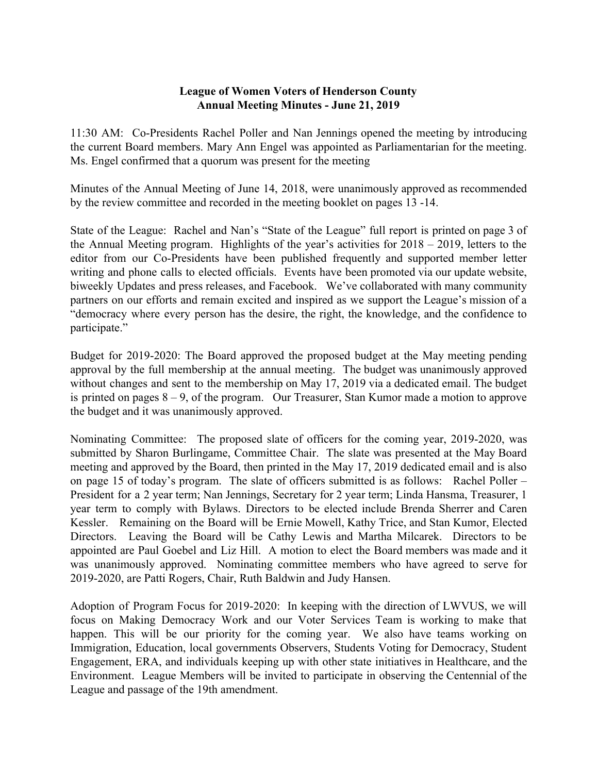#### **League of Women Voters of Henderson County Annual Meeting Minutes - June 21, 2019**

11:30 AM: Co-Presidents Rachel Poller and Nan Jennings opened the meeting by introducing the current Board members. Mary Ann Engel was appointed as Parliamentarian for the meeting. Ms. Engel confirmed that a quorum was present for the meeting

Minutes of the Annual Meeting of June 14, 2018, were unanimously approved as recommended by the review committee and recorded in the meeting booklet on pages 13 -14.

State of the League: Rachel and Nan's "State of the League" full report is printed on page 3 of the Annual Meeting program. Highlights of the year's activities for 2018 – 2019, letters to the editor from our Co-Presidents have been published frequently and supported member letter writing and phone calls to elected officials. Events have been promoted via our update website, biweekly Updates and press releases, and Facebook. We've collaborated with many community partners on our efforts and remain excited and inspired as we support the League's mission of a "democracy where every person has the desire, the right, the knowledge, and the confidence to participate."

Budget for 2019-2020: The Board approved the proposed budget at the May meeting pending approval by the full membership at the annual meeting. The budget was unanimously approved without changes and sent to the membership on May 17, 2019 via a dedicated email. The budget is printed on pages 8 – 9, of the program. Our Treasurer, Stan Kumor made a motion to approve the budget and it was unanimously approved.

Nominating Committee: The proposed slate of officers for the coming year, 2019-2020, was submitted by Sharon Burlingame, Committee Chair. The slate was presented at the May Board meeting and approved by the Board, then printed in the May 17, 2019 dedicated email and is also on page 15 of today's program. The slate of officers submitted is as follows: Rachel Poller – President for a 2 year term; Nan Jennings, Secretary for 2 year term; Linda Hansma, Treasurer, 1 year term to comply with Bylaws. Directors to be elected include Brenda Sherrer and Caren Kessler. Remaining on the Board will be Ernie Mowell, Kathy Trice, and Stan Kumor, Elected Directors. Leaving the Board will be Cathy Lewis and Martha Milcarek. Directors to be appointed are Paul Goebel and Liz Hill. A motion to elect the Board members was made and it was unanimously approved. Nominating committee members who have agreed to serve for 2019-2020, are Patti Rogers, Chair, Ruth Baldwin and Judy Hansen.

Adoption of Program Focus for 2019-2020: In keeping with the direction of LWVUS, we will focus on Making Democracy Work and our Voter Services Team is working to make that happen. This will be our priority for the coming year. We also have teams working on Immigration, Education, local governments Observers, Students Voting for Democracy, Student Engagement, ERA, and individuals keeping up with other state initiatives in Healthcare, and the Environment. League Members will be invited to participate in observing the Centennial of the League and passage of the 19th amendment.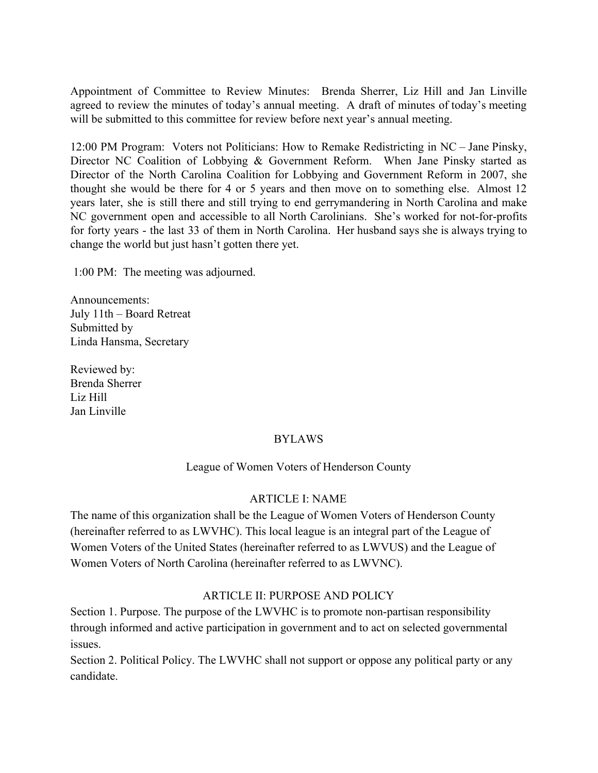Appointment of Committee to Review Minutes: Brenda Sherrer, Liz Hill and Jan Linville agreed to review the minutes of today's annual meeting. A draft of minutes of today's meeting will be submitted to this committee for review before next year's annual meeting.

12:00 PM Program: Voters not Politicians: How to Remake Redistricting in NC – Jane Pinsky, Director NC Coalition of Lobbying & Government Reform. When Jane Pinsky started as Director of the North Carolina Coalition for Lobbying and Government Reform in 2007, she thought she would be there for 4 or 5 years and then move on to something else. Almost 12 years later, she is still there and still trying to end gerrymandering in North Carolina and make NC government open and accessible to all North Carolinians. She's worked for not-for-profits for forty years - the last 33 of them in North Carolina. Her husband says she is always trying to change the world but just hasn't gotten there yet.

1:00 PM: The meeting was adjourned.

Announcements: July 11th – Board Retreat Submitted by Linda Hansma, Secretary

Reviewed by: Brenda Sherrer Liz Hill Jan Linville

#### BYLAWS

League of Women Voters of Henderson County

#### ARTICLE I: NAME

The name of this organization shall be the League of Women Voters of Henderson County (hereinafter referred to as LWVHC). This local league is an integral part of the League of Women Voters of the United States (hereinafter referred to as LWVUS) and the League of Women Voters of North Carolina (hereinafter referred to as LWVNC).

#### ARTICLE II: PURPOSE AND POLICY

Section 1. Purpose. The purpose of the LWVHC is to promote non-partisan responsibility through informed and active participation in government and to act on selected governmental issues.

Section 2. Political Policy. The LWVHC shall not support or oppose any political party or any candidate.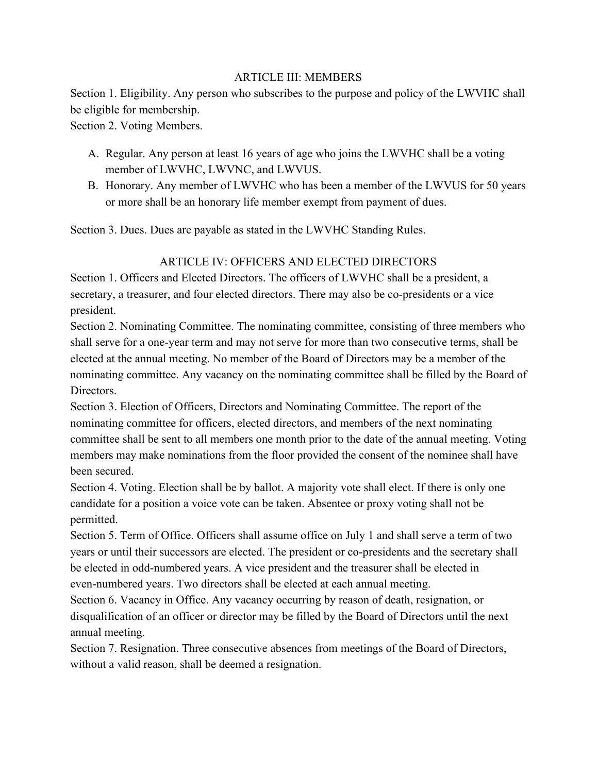#### ARTICLE III: MEMBERS

Section 1. Eligibility. Any person who subscribes to the purpose and policy of the LWVHC shall be eligible for membership.

Section 2. Voting Members.

- A. Regular. Any person at least 16 years of age who joins the LWVHC shall be a voting member of LWVHC, LWVNC, and LWVUS.
- B. Honorary. Any member of LWVHC who has been a member of the LWVUS for 50 years or more shall be an honorary life member exempt from payment of dues.

Section 3. Dues. Dues are payable as stated in the LWVHC Standing Rules.

#### ARTICLE IV: OFFICERS AND ELECTED DIRECTORS

Section 1. Officers and Elected Directors. The officers of LWVHC shall be a president, a secretary, a treasurer, and four elected directors. There may also be co-presidents or a vice president.

Section 2. Nominating Committee. The nominating committee, consisting of three members who shall serve for a one-year term and may not serve for more than two consecutive terms, shall be elected at the annual meeting. No member of the Board of Directors may be a member of the nominating committee. Any vacancy on the nominating committee shall be filled by the Board of Directors.

Section 3. Election of Officers, Directors and Nominating Committee. The report of the nominating committee for officers, elected directors, and members of the next nominating committee shall be sent to all members one month prior to the date of the annual meeting. Voting members may make nominations from the floor provided the consent of the nominee shall have been secured.

Section 4. Voting. Election shall be by ballot. A majority vote shall elect. If there is only one candidate for a position a voice vote can be taken. Absentee or proxy voting shall not be permitted.

Section 5. Term of Office. Officers shall assume office on July 1 and shall serve a term of two years or until their successors are elected. The president or co-presidents and the secretary shall be elected in odd-numbered years. A vice president and the treasurer shall be elected in even-numbered years. Two directors shall be elected at each annual meeting.

Section 6. Vacancy in Office. Any vacancy occurring by reason of death, resignation, or disqualification of an officer or director may be filled by the Board of Directors until the next annual meeting.

Section 7. Resignation. Three consecutive absences from meetings of the Board of Directors, without a valid reason, shall be deemed a resignation.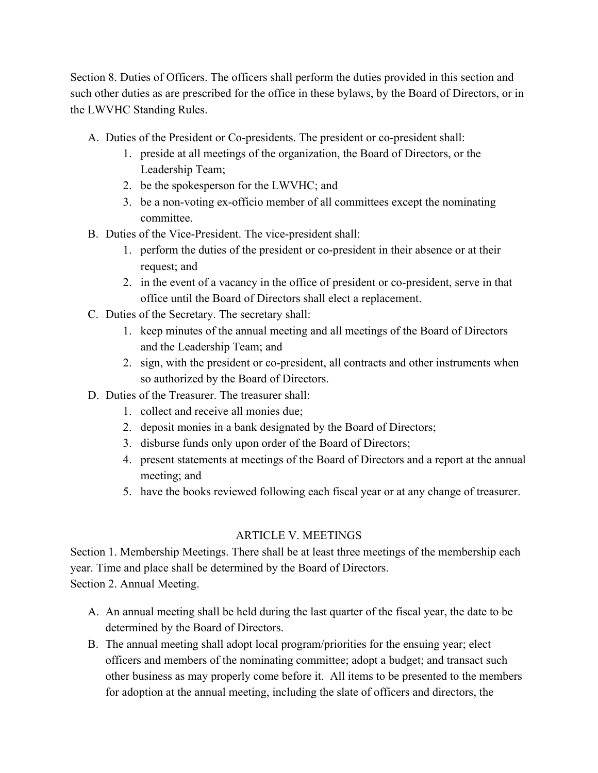Section 8. Duties of Officers. The officers shall perform the duties provided in this section and such other duties as are prescribed for the office in these bylaws, by the Board of Directors, or in the LWVHC Standing Rules.

- A. Duties of the President or Co-presidents. The president or co-president shall:
	- 1. preside at all meetings of the organization, the Board of Directors, or the Leadership Team;
	- 2. be the spokesperson for the LWVHC; and
	- 3. be a non-voting ex-officio member of all committees except the nominating committee.
- B. Duties of the Vice-President. The vice-president shall:
	- 1. perform the duties of the president or co-president in their absence or at their request; and
	- 2. in the event of a vacancy in the office of president or co-president, serve in that office until the Board of Directors shall elect a replacement.
- C. Duties of the Secretary. The secretary shall:
	- 1. keep minutes of the annual meeting and all meetings of the Board of Directors and the Leadership Team; and
	- 2. sign, with the president or co-president, all contracts and other instruments when so authorized by the Board of Directors.
- D. Duties of the Treasurer. The treasurer shall:
	- 1. collect and receive all monies due;
	- 2. deposit monies in a bank designated by the Board of Directors;
	- 3. disburse funds only upon order of the Board of Directors;
	- 4. present statements at meetings of the Board of Directors and a report at the annual meeting; and
	- 5. have the books reviewed following each fiscal year or at any change of treasurer.

### ARTICLE V. MEETINGS

Section 1. Membership Meetings. There shall be at least three meetings of the membership each year. Time and place shall be determined by the Board of Directors. Section 2. Annual Meeting.

- A. An annual meeting shall be held during the last quarter of the fiscal year, the date to be determined by the Board of Directors.
- B. The annual meeting shall adopt local program/priorities for the ensuing year; elect officers and members of the nominating committee; adopt a budget; and transact such other business as may properly come before it. All items to be presented to the members for adoption at the annual meeting, including the slate of officers and directors, the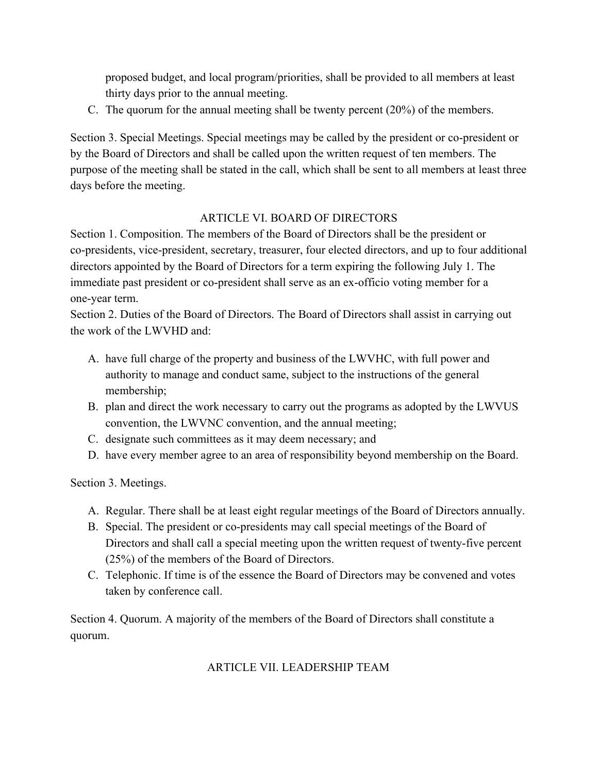proposed budget, and local program/priorities, shall be provided to all members at least thirty days prior to the annual meeting.

C. The quorum for the annual meeting shall be twenty percent (20%) of the members.

Section 3. Special Meetings. Special meetings may be called by the president or co-president or by the Board of Directors and shall be called upon the written request of ten members. The purpose of the meeting shall be stated in the call, which shall be sent to all members at least three days before the meeting.

### ARTICLE VI. BOARD OF DIRECTORS

Section 1. Composition. The members of the Board of Directors shall be the president or co-presidents, vice-president, secretary, treasurer, four elected directors, and up to four additional directors appointed by the Board of Directors for a term expiring the following July 1. The immediate past president or co-president shall serve as an ex-officio voting member for a one-year term.

Section 2. Duties of the Board of Directors. The Board of Directors shall assist in carrying out the work of the LWVHD and:

- A. have full charge of the property and business of the LWVHC, with full power and authority to manage and conduct same, subject to the instructions of the general membership;
- B. plan and direct the work necessary to carry out the programs as adopted by the LWVUS convention, the LWVNC convention, and the annual meeting;
- C. designate such committees as it may deem necessary; and
- D. have every member agree to an area of responsibility beyond membership on the Board.

Section 3. Meetings.

- A. Regular. There shall be at least eight regular meetings of the Board of Directors annually.
- B. Special. The president or co-presidents may call special meetings of the Board of Directors and shall call a special meeting upon the written request of twenty-five percent (25%) of the members of the Board of Directors.
- C. Telephonic. If time is of the essence the Board of Directors may be convened and votes taken by conference call.

Section 4. Quorum. A majority of the members of the Board of Directors shall constitute a quorum.

### ARTICLE VII. LEADERSHIP TEAM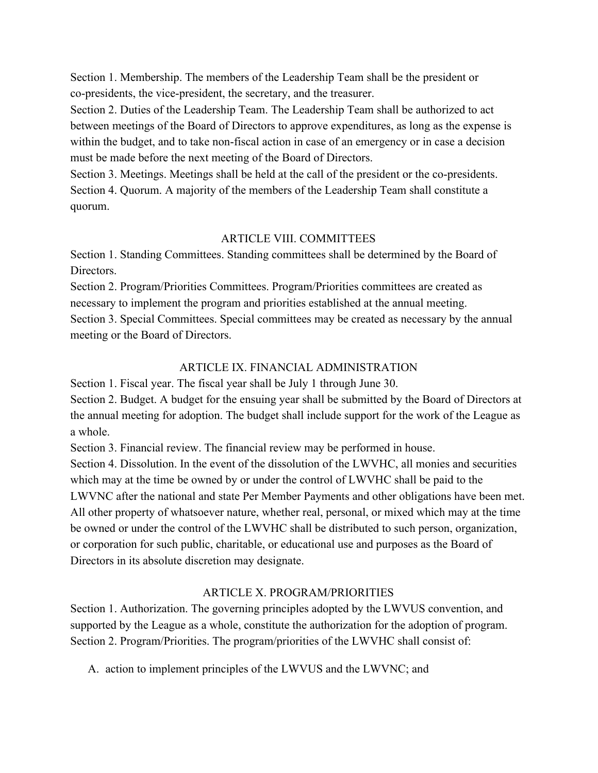Section 1. Membership. The members of the Leadership Team shall be the president or co-presidents, the vice-president, the secretary, and the treasurer.

Section 2. Duties of the Leadership Team. The Leadership Team shall be authorized to act between meetings of the Board of Directors to approve expenditures, as long as the expense is within the budget, and to take non-fiscal action in case of an emergency or in case a decision must be made before the next meeting of the Board of Directors.

Section 3. Meetings. Meetings shall be held at the call of the president or the co-presidents. Section 4. Quorum. A majority of the members of the Leadership Team shall constitute a quorum.

#### ARTICLE VIII. COMMITTEES

Section 1. Standing Committees. Standing committees shall be determined by the Board of **Directors** 

Section 2. Program/Priorities Committees. Program/Priorities committees are created as necessary to implement the program and priorities established at the annual meeting. Section 3. Special Committees. Special committees may be created as necessary by the annual meeting or the Board of Directors.

### ARTICLE IX. FINANCIAL ADMINISTRATION

Section 1. Fiscal year. The fiscal year shall be July 1 through June 30. Section 2. Budget. A budget for the ensuing year shall be submitted by the Board of Directors at the annual meeting for adoption. The budget shall include support for the work of the League as a whole.

Section 3. Financial review. The financial review may be performed in house.

Section 4. Dissolution. In the event of the dissolution of the LWVHC, all monies and securities which may at the time be owned by or under the control of LWVHC shall be paid to the LWVNC after the national and state Per Member Payments and other obligations have been met. All other property of whatsoever nature, whether real, personal, or mixed which may at the time be owned or under the control of the LWVHC shall be distributed to such person, organization, or corporation for such public, charitable, or educational use and purposes as the Board of Directors in its absolute discretion may designate.

### ARTICLE X. PROGRAM/PRIORITIES

Section 1. Authorization. The governing principles adopted by the LWVUS convention, and supported by the League as a whole, constitute the authorization for the adoption of program. Section 2. Program/Priorities. The program/priorities of the LWVHC shall consist of:

A. action to implement principles of the LWVUS and the LWVNC; and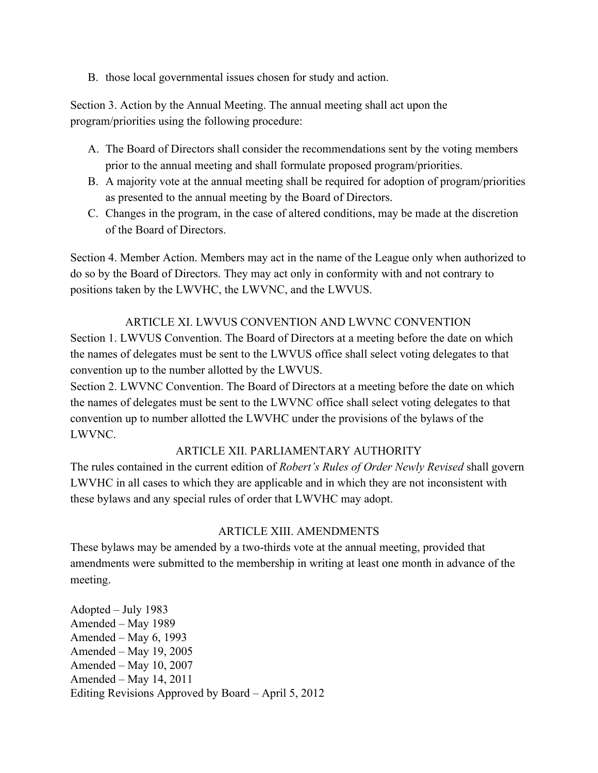B. those local governmental issues chosen for study and action.

Section 3. Action by the Annual Meeting. The annual meeting shall act upon the program/priorities using the following procedure:

- A. The Board of Directors shall consider the recommendations sent by the voting members prior to the annual meeting and shall formulate proposed program/priorities.
- B. A majority vote at the annual meeting shall be required for adoption of program/priorities as presented to the annual meeting by the Board of Directors.
- C. Changes in the program, in the case of altered conditions, may be made at the discretion of the Board of Directors.

Section 4. Member Action. Members may act in the name of the League only when authorized to do so by the Board of Directors. They may act only in conformity with and not contrary to positions taken by the LWVHC, the LWVNC, and the LWVUS.

### ARTICLE XI. LWVUS CONVENTION AND LWVNC CONVENTION

Section 1. LWVUS Convention. The Board of Directors at a meeting before the date on which the names of delegates must be sent to the LWVUS office shall select voting delegates to that convention up to the number allotted by the LWVUS.

Section 2. LWVNC Convention. The Board of Directors at a meeting before the date on which the names of delegates must be sent to the LWVNC office shall select voting delegates to that convention up to number allotted the LWVHC under the provisions of the bylaws of the LWVNC.

## ARTICLE XII. PARLIAMENTARY AUTHORITY

The rules contained in the current edition of *Robert's Rules of Order Newly Revised* shall govern LWVHC in all cases to which they are applicable and in which they are not inconsistent with these bylaws and any special rules of order that LWVHC may adopt.

## ARTICLE XIII. AMENDMENTS

These bylaws may be amended by a two-thirds vote at the annual meeting, provided that amendments were submitted to the membership in writing at least one month in advance of the meeting.

Adopted – July 1983 Amended – May 1989 Amended – May 6, 1993 Amended – May 19, 2005 Amended – May 10, 2007 Amended – May 14, 2011 Editing Revisions Approved by Board – April 5, 2012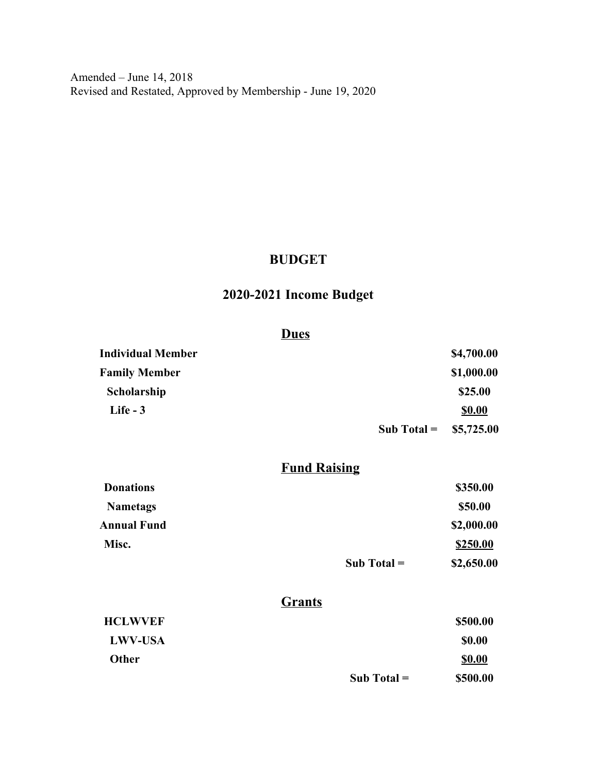Amended – June 14, 2018 Revised and Restated, Approved by Membership - June 19, 2020

## **BUDGET**

## **2020-2021 Income Budget**

#### **Dues**

| <b>Individual Member</b> |                         | \$4,700.00    |
|--------------------------|-------------------------|---------------|
| <b>Family Member</b>     |                         | \$1,000.00    |
| Scholarship              |                         | \$25.00       |
| Life $-3$                |                         | <b>\$0.00</b> |
|                          | Sub Total = $$5,725.00$ |               |

## **Fund Raising**

|                  | Sub Total $=$ | \$2,650.00 |
|------------------|---------------|------------|
| Misc.            |               | \$250.00   |
| Annual Fund      |               | \$2,000.00 |
| <b>Nametags</b>  |               | \$50.00    |
| <b>Donations</b> |               | \$350.00   |

## **Grants**

| <b>HCLWVEF</b> |               | \$500.00      |
|----------------|---------------|---------------|
| <b>LWV-USA</b> |               | <b>\$0.00</b> |
| Other          |               | \$0.00        |
|                | Sub Total $=$ | \$500.00      |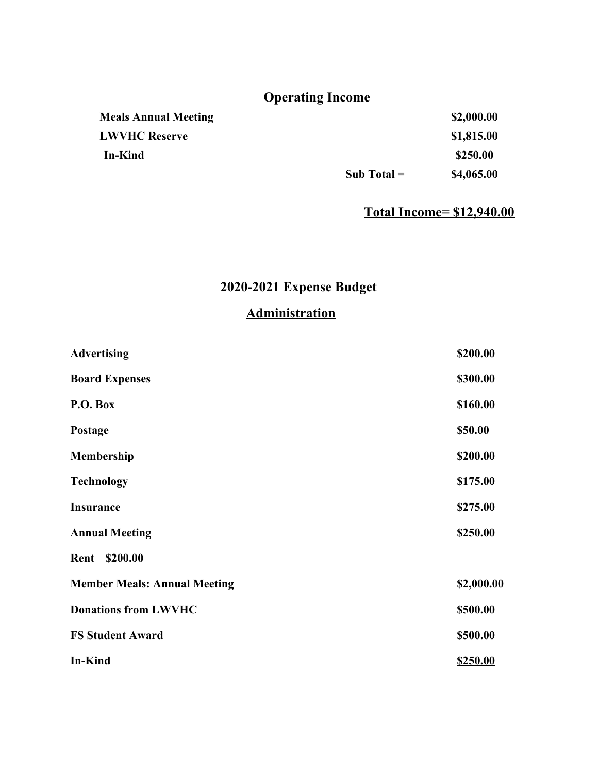# **Operating Income**

|                             | Sub Total $=$ | \$4,065.00 |
|-----------------------------|---------------|------------|
| In-Kind                     |               | \$250.00   |
| <b>LWVHC Reserve</b>        |               | \$1,815.00 |
| <b>Meals Annual Meeting</b> |               | \$2,000.00 |

## **Total Income= \$12,940.00**

## **2020-2021 Expense Budget**

## **Administration**

| <b>Advertising</b>                  | \$200.00   |
|-------------------------------------|------------|
| <b>Board Expenses</b>               | \$300.00   |
| P.O. Box                            | \$160.00   |
| Postage                             | \$50.00    |
| Membership                          | \$200.00   |
| <b>Technology</b>                   | \$175.00   |
| <b>Insurance</b>                    | \$275.00   |
| <b>Annual Meeting</b>               | \$250.00   |
| Rent<br>\$200.00                    |            |
| <b>Member Meals: Annual Meeting</b> | \$2,000.00 |
| <b>Donations from LWVHC</b>         | \$500.00   |
| <b>FS Student Award</b>             | \$500.00   |
| <b>In-Kind</b>                      | \$250.00   |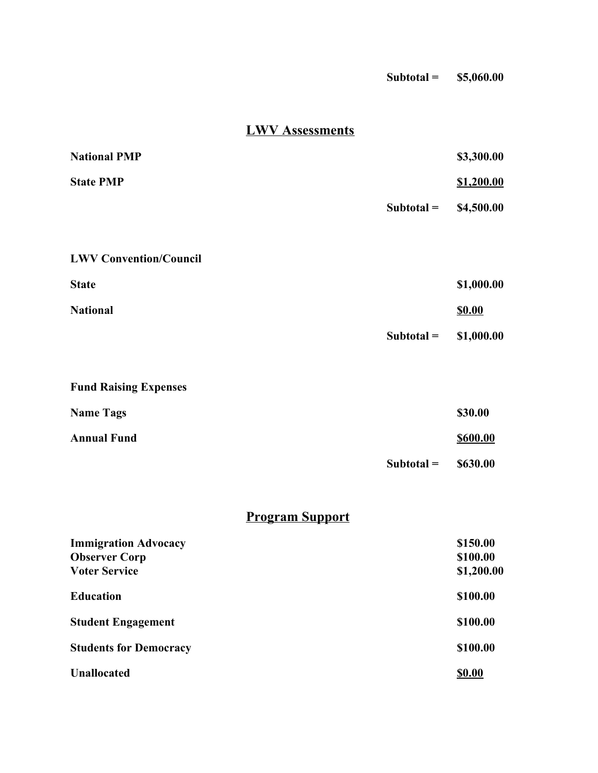| $Subtotal =$ | \$5,060.00 |
|--------------|------------|
|--------------|------------|

## **LWV Assessments**

| <b>National PMP</b>                                                         |              | \$3,300.00                         |
|-----------------------------------------------------------------------------|--------------|------------------------------------|
| <b>State PMP</b>                                                            |              | \$1,200.00                         |
|                                                                             | $Subtotal =$ | \$4,500.00                         |
| <b>LWV Convention/Council</b>                                               |              |                                    |
| <b>State</b>                                                                |              | \$1,000.00                         |
| <b>National</b>                                                             |              | <b>\$0.00</b>                      |
|                                                                             | $Subtotal =$ | \$1,000.00                         |
| <b>Fund Raising Expenses</b>                                                |              |                                    |
| <b>Name Tags</b>                                                            |              | \$30.00                            |
| <b>Annual Fund</b>                                                          |              | <b>\$600.00</b>                    |
|                                                                             | $Subtotal =$ | \$630.00                           |
| <b>Program Support</b>                                                      |              |                                    |
| <b>Immigration Advocacy</b><br><b>Observer Corp</b><br><b>Voter Service</b> |              | \$150.00<br>\$100.00<br>\$1,200.00 |
| <b>Education</b>                                                            |              | \$100.00                           |
| <b>Student Engagement</b>                                                   |              | \$100.00                           |
| <b>Students for Democracy</b>                                               |              | \$100.00                           |
| <b>Unallocated</b>                                                          |              | <b>\$0.00</b>                      |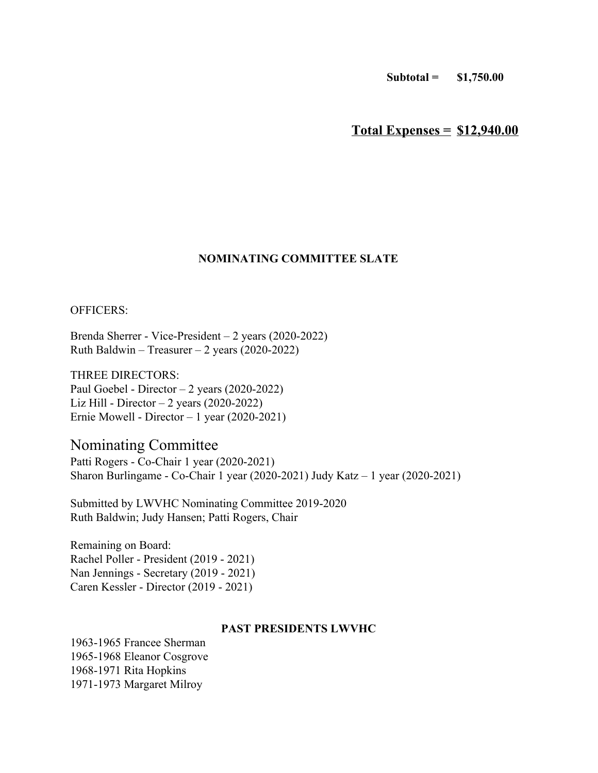**Subtotal = \$1,750.00**

**Total Expenses = \$12,940.00**

#### **NOMINATING COMMITTEE SLATE**

OFFICERS:

Brenda Sherrer - Vice-President – 2 years (2020-2022) Ruth Baldwin – Treasurer – 2 years (2020-2022)

THREE DIRECTORS: Paul Goebel - Director – 2 years (2020-2022) Liz Hill - Director – 2 years (2020-2022) Ernie Mowell - Director – 1 year (2020-2021)

## Nominating Committee

Patti Rogers - Co-Chair 1 year (2020-2021) Sharon Burlingame - Co-Chair 1 year (2020-2021) Judy Katz – 1 year (2020-2021)

Submitted by LWVHC Nominating Committee 2019-2020 Ruth Baldwin; Judy Hansen; Patti Rogers, Chair

Remaining on Board: Rachel Poller - President (2019 - 2021) Nan Jennings - Secretary (2019 - 2021) Caren Kessler - Director (2019 - 2021)

#### **PAST PRESIDENTS LWVHC**

1963-1965 Francee Sherman 1965-1968 Eleanor Cosgrove 1968-1971 Rita Hopkins 1971-1973 Margaret Milroy